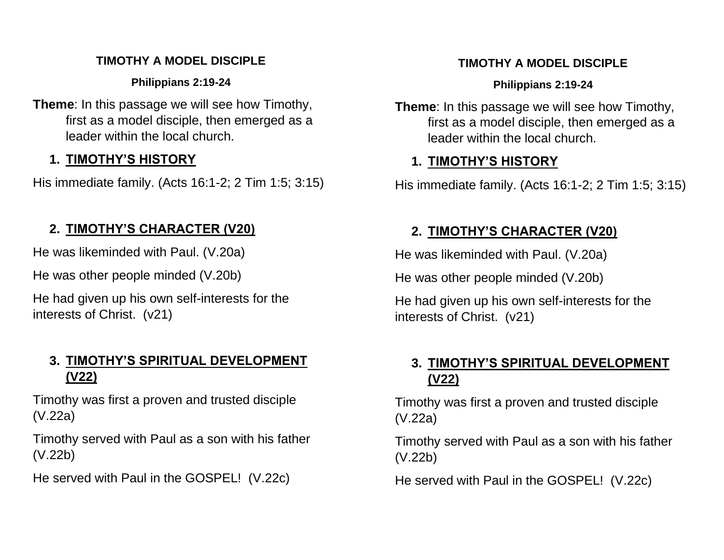#### **TIMOTHY A MODEL DISCIPLE**

**Philippians 2:19-24**

**Theme**: In this passage we will see how Timothy, first as a model disciple, then emerged as a leader within the local church.

## **1. TIMOTHY'S HISTORY**

His immediate family. (Acts 16:1-2; 2 Tim 1:5; 3:15)

## **2. TIMOTHY'S CHARACTER (V20)**

He was likeminded with Paul. (V.20a)

He was other people minded (V.20b)

He had given up his own self-interests for the interests of Christ. (v21)

## **3. TIMOTHY'S SPIRITUAL DEVELOPMENT (V22)**

Timothy was first a proven and trusted disciple (V.22a)

Timothy served with Paul as a son with his father (V.22b)

He served with Paul in the GOSPEL! (V.22c)

### **TIMOTHY A MODEL DISCIPLE**

### **Philippians 2:19-24**

**Theme**: In this passage we will see how Timothy, first as a model disciple, then emerged as a leader within the local church.

## **1. TIMOTHY'S HISTORY**

His immediate family. (Acts 16:1-2; 2 Tim 1:5; 3:15)

# **2. TIMOTHY'S CHARACTER (V20)**

He was likeminded with Paul. (V.20a)

He was other people minded (V.20b)

He had given up his own self-interests for the interests of Christ. (v21)

## **3. TIMOTHY'S SPIRITUAL DEVELOPMENT (V22)**

Timothy was first a proven and trusted disciple (V.22a)

Timothy served with Paul as a son with his father (V.22b)

He served with Paul in the GOSPEL! (V.22c)